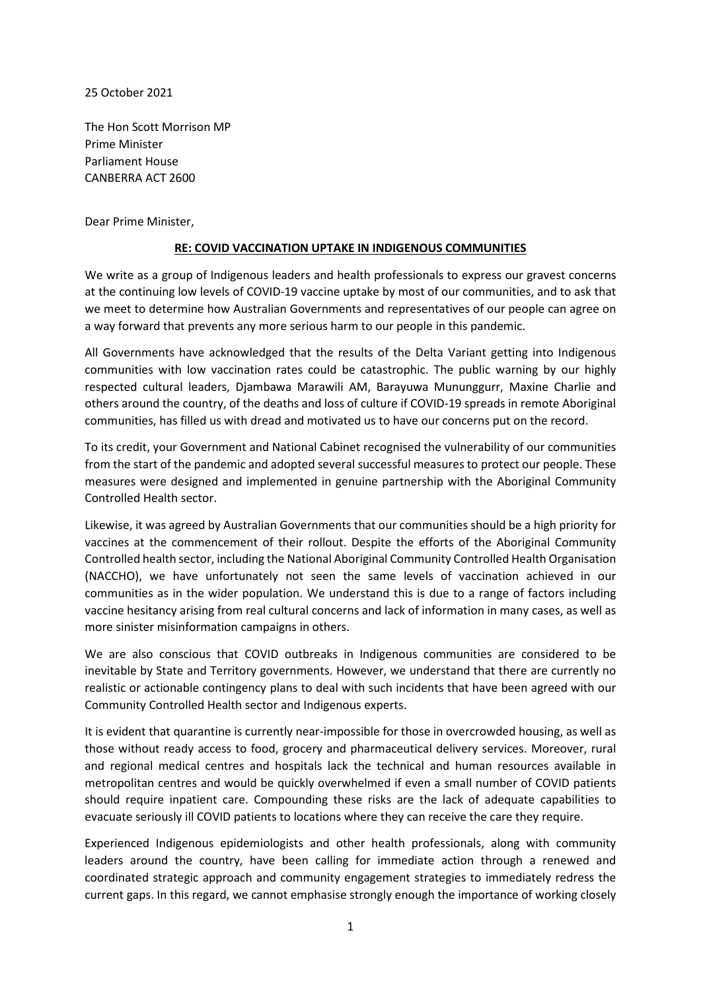25 October 2021

The Hon Scott Morrison MP Prime Minister Parliament House CANBERRA ACT 2600

Dear Prime Minister,

## **RE: COVID VACCINATION UPTAKE IN INDIGENOUS COMMUNITIES**

We write as a group of Indigenous leaders and health professionals to express our gravest concerns at the continuing low levels of COVID-19 vaccine uptake by most of our communities, and to ask that we meet to determine how Australian Governments and representatives of our people can agree on a way forward that prevents any more serious harm to our people in this pandemic.

All Governments have acknowledged that the results of the Delta Variant getting into Indigenous communities with low vaccination rates could be catastrophic. The public warning by our highly respected cultural leaders, Djambawa Marawili AM, Barayuwa Mununggurr, Maxine Charlie and others around the country, of the deaths and loss of culture if COVID-19 spreads in remote Aboriginal communities, has filled us with dread and motivated us to have our concerns put on the record.

To its credit, your Government and National Cabinet recognised the vulnerability of our communities from the start of the pandemic and adopted several successful measures to protect our people. These measures were designed and implemented in genuine partnership with the Aboriginal Community Controlled Health sector.

Likewise, it was agreed by Australian Governments that our communities should be a high priority for vaccines at the commencement of their rollout. Despite the efforts of the Aboriginal Community Controlled health sector, including the National Aboriginal Community Controlled Health Organisation (NACCHO), we have unfortunately not seen the same levels of vaccination achieved in our communities as in the wider population. We understand this is due to a range of factors including vaccine hesitancy arising from real cultural concerns and lack of information in many cases, as well as more sinister misinformation campaigns in others.

We are also conscious that COVID outbreaks in Indigenous communities are considered to be inevitable by State and Territory governments. However, we understand that there are currently no realistic or actionable contingency plans to deal with such incidents that have been agreed with our Community Controlled Health sector and Indigenous experts.

It is evident that quarantine is currently near-impossible for those in overcrowded housing, as well as those without ready access to food, grocery and pharmaceutical delivery services. Moreover, rural and regional medical centres and hospitals lack the technical and human resources available in metropolitan centres and would be quickly overwhelmed if even a small number of COVID patients should require inpatient care. Compounding these risks are the lack of adequate capabilities to evacuate seriously ill COVID patients to locations where they can receive the care they require.

Experienced Indigenous epidemiologists and other health professionals, along with community leaders around the country, have been calling for immediate action through a renewed and coordinated strategic approach and community engagement strategies to immediately redress the current gaps. In this regard, we cannot emphasise strongly enough the importance of working closely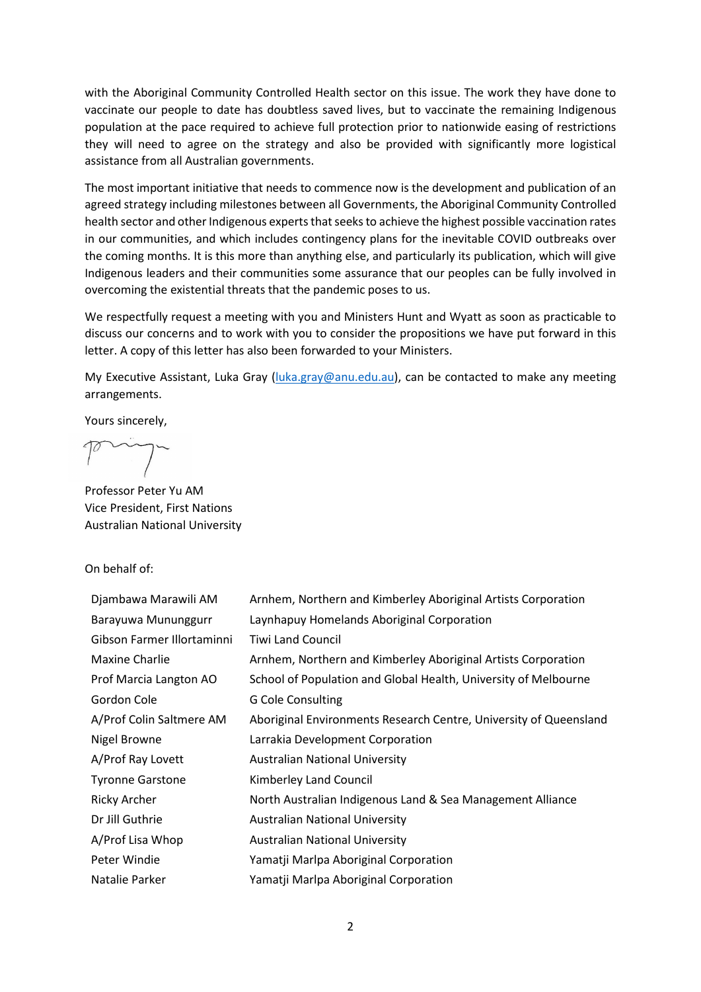with the Aboriginal Community Controlled Health sector on this issue. The work they have done to vaccinate our people to date has doubtless saved lives, but to vaccinate the remaining Indigenous population at the pace required to achieve full protection prior to nationwide easing of restrictions they will need to agree on the strategy and also be provided with significantly more logistical assistance from all Australian governments.

The most important initiative that needs to commence now is the development and publication of an agreed strategy including milestones between all Governments, the Aboriginal Community Controlled health sector and other Indigenous experts that seeks to achieve the highest possible vaccination rates in our communities, and which includes contingency plans for the inevitable COVID outbreaks over the coming months. It is this more than anything else, and particularly its publication, which will give Indigenous leaders and their communities some assurance that our peoples can be fully involved in overcoming the existential threats that the pandemic poses to us.

We respectfully request a meeting with you and Ministers Hunt and Wyatt as soon as practicable to discuss our concerns and to work with you to consider the propositions we have put forward in this letter. A copy of this letter has also been forwarded to your Ministers.

My Executive Assistant, Luka Gray [\(luka.gray@anu.edu.au\)](mailto:luka.gray@anu.edu.au), can be contacted to make any meeting arrangements.

Yours sincerely,

Professor Peter Yu AM Vice President, First Nations Australian National University

On behalf of:

| Djambawa Marawili AM       | Arnhem, Northern and Kimberley Aboriginal Artists Corporation     |
|----------------------------|-------------------------------------------------------------------|
| Barayuwa Mununggurr        | Laynhapuy Homelands Aboriginal Corporation                        |
| Gibson Farmer Illortaminni | <b>Tiwi Land Council</b>                                          |
| <b>Maxine Charlie</b>      | Arnhem, Northern and Kimberley Aboriginal Artists Corporation     |
| Prof Marcia Langton AO     | School of Population and Global Health, University of Melbourne   |
| Gordon Cole                | <b>G Cole Consulting</b>                                          |
| A/Prof Colin Saltmere AM   | Aboriginal Environments Research Centre, University of Queensland |
| Nigel Browne               | Larrakia Development Corporation                                  |
| A/Prof Ray Lovett          | <b>Australian National University</b>                             |
| <b>Tyronne Garstone</b>    | Kimberley Land Council                                            |
| <b>Ricky Archer</b>        | North Australian Indigenous Land & Sea Management Alliance        |
| Dr Jill Guthrie            | <b>Australian National University</b>                             |
| A/Prof Lisa Whop           | <b>Australian National University</b>                             |
| Peter Windie               | Yamatji Marlpa Aboriginal Corporation                             |
| Natalie Parker             | Yamatji Marlpa Aboriginal Corporation                             |